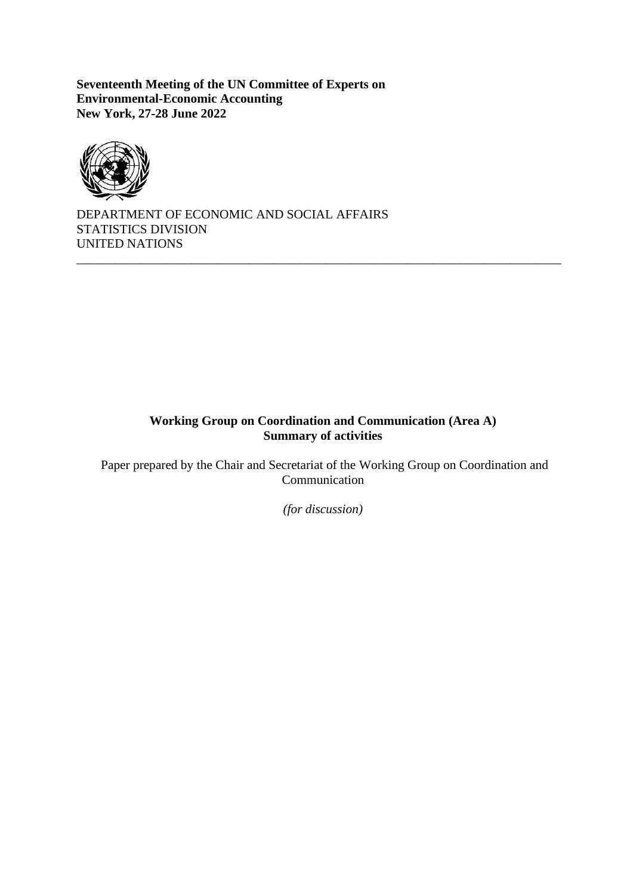**Seventeenth Meeting of the UN Committee of Experts on Environmental-Economic Accounting New York, 27-28 June 2022**



DEPARTMENT OF ECONOMIC AND SOCIAL AFFAIRS STATISTICS DIVISION UNITED NATIONS

#### **Working Group on Coordination and Communication (Area A) Summary of activities**

\_\_\_\_\_\_\_\_\_\_\_\_\_\_\_\_\_\_\_\_\_\_\_\_\_\_\_\_\_\_\_\_\_\_\_\_\_\_\_\_\_\_\_\_\_\_\_\_\_\_\_\_\_\_\_\_\_\_\_\_\_\_\_\_\_\_\_\_\_\_\_\_\_\_\_\_

Paper prepared by the Chair and Secretariat of the Working Group on Coordination and Communication

*(for discussion)*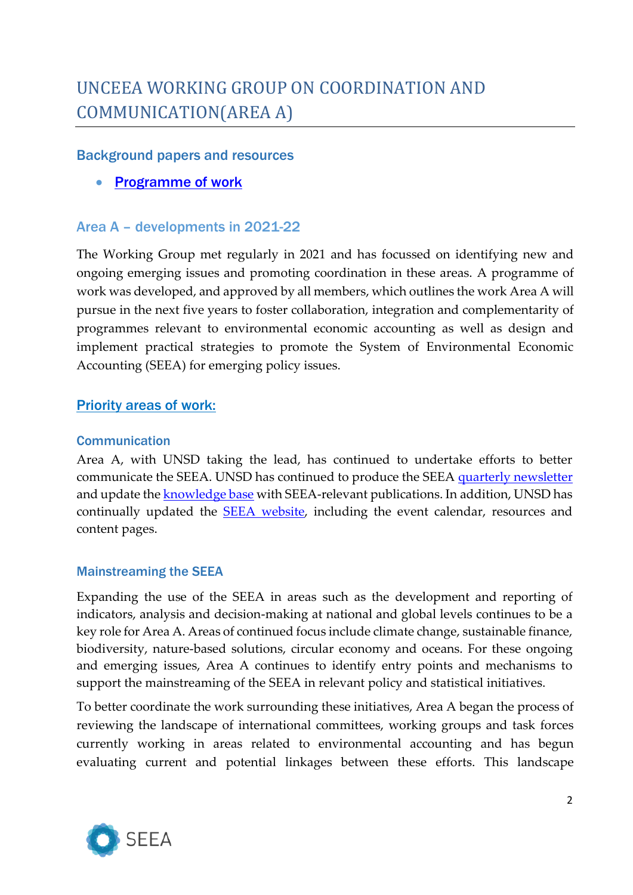### Background papers and resources

• [Programme](https://seea.un.org/sites/seea.un.org/files/program_of_work_area_a_2022_02_04_final_draft.pdf) of work

## Area A – developments in 2021-22

The Working Group met regularly in 2021 and has focussed on identifying new and ongoing emerging issues and promoting coordination in these areas. A programme of work was developed, and approved by all members, which outlines the work Area A will pursue in the next five years to foster collaboration, integration and complementarity of programmes relevant to environmental economic accounting as well as design and implement practical strategies to promote the System of Environmental Economic Accounting (SEEA) for emerging policy issues.

### Priority areas of work:

#### **Communication**

Area A, with UNSD taking the lead, has continued to undertake efforts to better communicate the SEEA. UNSD has continued to produce the SEEA [quarterly newsletter](https://seea.un.org/content/seea-news-and-notes-archive) and update the **knowledge base** with SEEA-relevant publications. In addition, UNSD has continually updated the **SEEA** website, including the event calendar, resources and content pages.

#### Mainstreaming the SEEA

Expanding the use of the SEEA in areas such as the development and reporting of indicators, analysis and decision-making at national and global levels continues to be a key role for Area A. Areas of continued focus include climate change, sustainable finance, biodiversity, nature-based solutions, circular economy and oceans. For these ongoing and emerging issues, Area A continues to identify entry points and mechanisms to support the mainstreaming of the SEEA in relevant policy and statistical initiatives.

To better coordinate the work surrounding these initiatives, Area A began the process of reviewing the landscape of international committees, working groups and task forces currently working in areas related to environmental accounting and has begun evaluating current and potential linkages between these efforts. This landscape

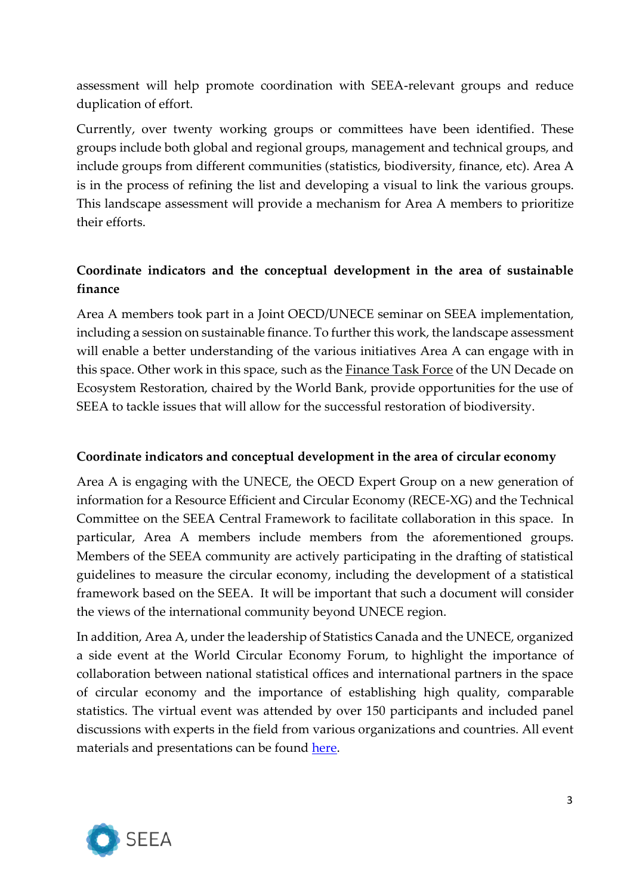assessment will help promote coordination with SEEA-relevant groups and reduce duplication of effort.

Currently, over twenty working groups or committees have been identified. These groups include both global and regional groups, management and technical groups, and include groups from different communities (statistics, biodiversity, finance, etc). Area A is in the process of refining the list and developing a visual to link the various groups. This landscape assessment will provide a mechanism for Area A members to prioritize their efforts.

# **Coordinate indicators and the conceptual development in the area of sustainable finance**

Area A members took part in a Joint OECD/UNECE seminar on SEEA implementation, including a session on sustainable finance. To further this work, the landscape assessment will enable a better understanding of the various initiatives Area A can engage with in this space. Other work in this space, such as the [Finance Task Force](https://www.decadeonrestoration.org/task-forces/finance) of the UN Decade on Ecosystem Restoration, chaired by the World Bank, provide opportunities for the use of SEEA to tackle issues that will allow for the successful restoration of biodiversity.

## **Coordinate indicators and conceptual development in the area of circular economy**

Area A is engaging with the UNECE, the OECD Expert Group on a new generation of information for a Resource Efficient and Circular Economy (RECE-XG) and the Technical Committee on the SEEA Central Framework to facilitate collaboration in this space. In particular, Area A members include members from the aforementioned groups. Members of the SEEA community are actively participating in the drafting of statistical guidelines to measure the circular economy, including the development of a statistical framework based on the SEEA. It will be important that such a document will consider the views of the international community beyond UNECE region.

In addition, Area A, under the leadership of Statistics Canada and the UNECE, organized a side event at the World Circular Economy Forum, to highlight the importance of collaboration between national statistical offices and international partners in the space of circular economy and the importance of establishing high quality, comparable statistics. The virtual event was attended by over 150 participants and included panel discussions with experts in the field from various organizations and countries. All event materials and presentations can be found [here.](https://unece.org/info/events/event/361846)

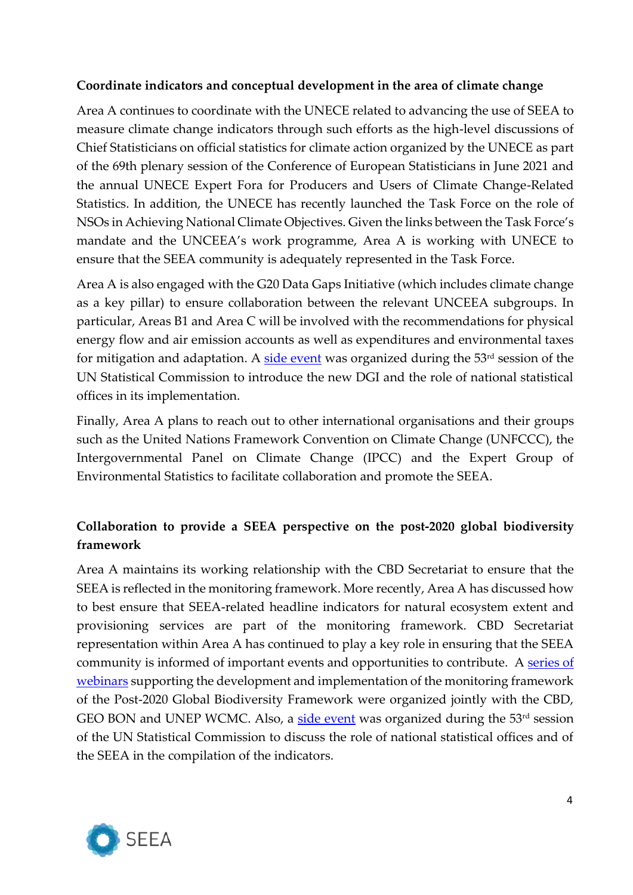#### **Coordinate indicators and conceptual development in the area of climate change**

Area A continues to coordinate with the UNECE related to advancing the use of SEEA to measure climate change indicators through such efforts as the high-level discussions of Chief Statisticians on official statistics for climate action organized by the UNECE as part of the 69th plenary session of the Conference of European Statisticians in June 2021 and the annual UNECE Expert Fora for Producers and Users of Climate Change-Related Statistics. In addition, the UNECE has recently launched the Task Force on the role of NSOs in Achieving National Climate Objectives. Given the links between the Task Force's mandate and the UNCEEA's work programme, Area A is working with UNECE to ensure that the SEEA community is adequately represented in the Task Force.

Area A is also engaged with the G20 Data Gaps Initiative (which includes climate change as a key pillar) to ensure collaboration between the relevant UNCEEA subgroups. In particular, Areas B1 and Area C will be involved with the recommendations for physical energy flow and air emission accounts as well as expenditures and environmental taxes for mitigation and adaptation. A [side event](https://seea.un.org/events/side-event-53rd-un-statistical-commission-closing-climate-change-data-gaps) was organized during the  $53<sup>rd</sup>$  session of the UN Statistical Commission to introduce the new DGI and the role of national statistical offices in its implementation.

Finally, Area A plans to reach out to other international organisations and their groups such as the United Nations Framework Convention on Climate Change (UNFCCC), the Intergovernmental Panel on Climate Change (IPCC) and the Expert Group of Environmental Statistics to facilitate collaboration and promote the SEEA.

# **Collaboration to provide a SEEA perspective on the post-2020 global biodiversity framework**

Area A maintains its working relationship with the CBD Secretariat to ensure that the SEEA is reflected in the monitoring framework. More recently, Area A has discussed how to best ensure that SEEA-related headline indicators for natural ecosystem extent and provisioning services are part of the monitoring framework. CBD Secretariat representation within Area A has continued to play a key role in ensuring that the SEEA community is informed of important events and opportunities to contribute. A series of [webinars](https://seea.un.org/events/webinars-supporting-implementation-post-2020-global-biodiversity-framework) supporting the development and implementation of the monitoring framework of the Post-2020 Global Biodiversity Framework were organized jointly with the CBD, GEO BON and UNEP WCMC. Also, a [side event](https://seea.un.org/events/side-event-53rd-un-statistical-commission-post-2020-global-biodiversity-framework) was organized during the  $53<sup>rd</sup>$  session of the UN Statistical Commission to discuss the role of national statistical offices and of the SEEA in the compilation of the indicators.